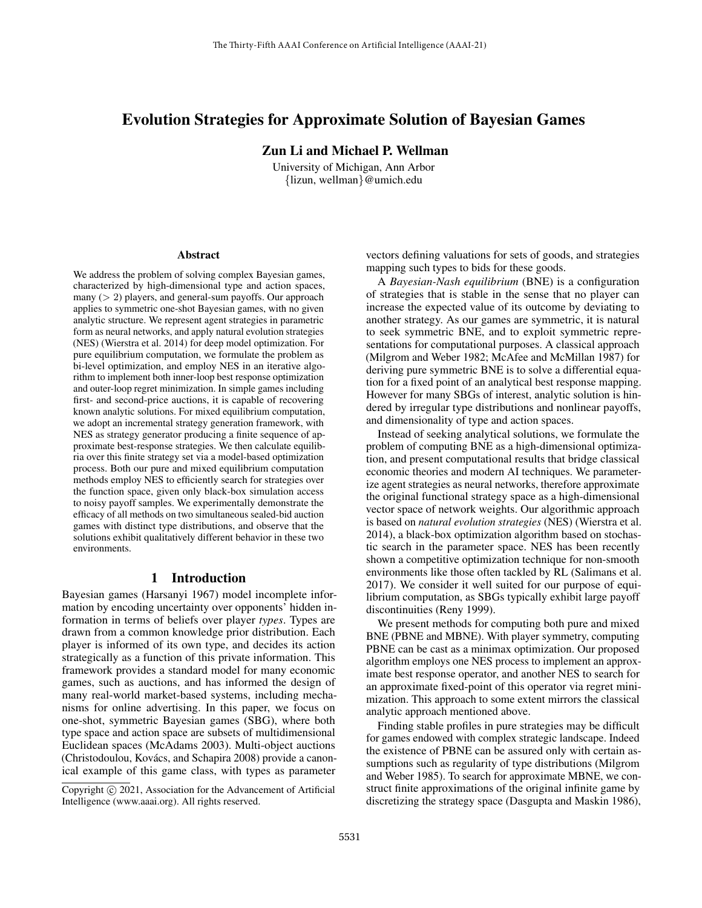# Evolution Strategies for Approximate Solution of Bayesian Games

Zun Li and Michael P. Wellman

University of Michigan, Ann Arbor {lizun, wellman}@umich.edu

#### **Abstract**

We address the problem of solving complex Bayesian games, characterized by high-dimensional type and action spaces, many (> 2) players, and general-sum payoffs. Our approach applies to symmetric one-shot Bayesian games, with no given analytic structure. We represent agent strategies in parametric form as neural networks, and apply natural evolution strategies (NES) (Wierstra et al. 2014) for deep model optimization. For pure equilibrium computation, we formulate the problem as bi-level optimization, and employ NES in an iterative algorithm to implement both inner-loop best response optimization and outer-loop regret minimization. In simple games including first- and second-price auctions, it is capable of recovering known analytic solutions. For mixed equilibrium computation, we adopt an incremental strategy generation framework, with NES as strategy generator producing a finite sequence of approximate best-response strategies. We then calculate equilibria over this finite strategy set via a model-based optimization process. Both our pure and mixed equilibrium computation methods employ NES to efficiently search for strategies over the function space, given only black-box simulation access to noisy payoff samples. We experimentally demonstrate the efficacy of all methods on two simultaneous sealed-bid auction games with distinct type distributions, and observe that the solutions exhibit qualitatively different behavior in these two environments.

## 1 Introduction

Bayesian games (Harsanyi 1967) model incomplete information by encoding uncertainty over opponents' hidden information in terms of beliefs over player *types*. Types are drawn from a common knowledge prior distribution. Each player is informed of its own type, and decides its action strategically as a function of this private information. This framework provides a standard model for many economic games, such as auctions, and has informed the design of many real-world market-based systems, including mechanisms for online advertising. In this paper, we focus on one-shot, symmetric Bayesian games (SBG), where both type space and action space are subsets of multidimensional Euclidean spaces (McAdams 2003). Multi-object auctions (Christodoulou, Kovács, and Schapira 2008) provide a canonical example of this game class, with types as parameter

vectors defining valuations for sets of goods, and strategies mapping such types to bids for these goods.

A *Bayesian-Nash equilibrium* (BNE) is a configuration of strategies that is stable in the sense that no player can increase the expected value of its outcome by deviating to another strategy. As our games are symmetric, it is natural to seek symmetric BNE, and to exploit symmetric representations for computational purposes. A classical approach (Milgrom and Weber 1982; McAfee and McMillan 1987) for deriving pure symmetric BNE is to solve a differential equation for a fixed point of an analytical best response mapping. However for many SBGs of interest, analytic solution is hindered by irregular type distributions and nonlinear payoffs, and dimensionality of type and action spaces.

Instead of seeking analytical solutions, we formulate the problem of computing BNE as a high-dimensional optimization, and present computational results that bridge classical economic theories and modern AI techniques. We parameterize agent strategies as neural networks, therefore approximate the original functional strategy space as a high-dimensional vector space of network weights. Our algorithmic approach is based on *natural evolution strategies* (NES) (Wierstra et al. 2014), a black-box optimization algorithm based on stochastic search in the parameter space. NES has been recently shown a competitive optimization technique for non-smooth environments like those often tackled by RL (Salimans et al. 2017). We consider it well suited for our purpose of equilibrium computation, as SBGs typically exhibit large payoff discontinuities (Reny 1999).

We present methods for computing both pure and mixed BNE (PBNE and MBNE). With player symmetry, computing PBNE can be cast as a minimax optimization. Our proposed algorithm employs one NES process to implement an approximate best response operator, and another NES to search for an approximate fixed-point of this operator via regret minimization. This approach to some extent mirrors the classical analytic approach mentioned above.

Finding stable profiles in pure strategies may be difficult for games endowed with complex strategic landscape. Indeed the existence of PBNE can be assured only with certain assumptions such as regularity of type distributions (Milgrom and Weber 1985). To search for approximate MBNE, we construct finite approximations of the original infinite game by discretizing the strategy space (Dasgupta and Maskin 1986),

Copyright © 2021, Association for the Advancement of Artificial Intelligence (www.aaai.org). All rights reserved.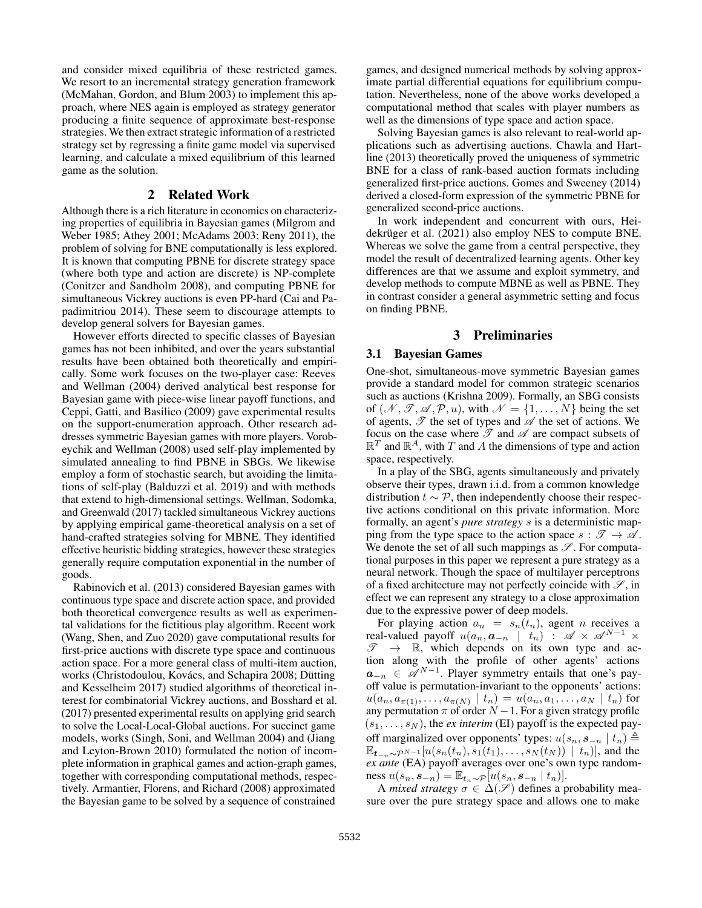and consider mixed equilibria of these restricted games. We resort to an incremental strategy generation framework (McMahan, Gordon, and Blum 2003) to implement this approach, where NES again is employed as strategy generator producing a finite sequence of approximate best-response strategies. We then extract strategic information of a restricted strategy set by regressing a finite game model via supervised learning, and calculate a mixed equilibrium of this learned game as the solution.

# 2 Related Work

Although there is a rich literature in economics on characterizing properties of equilibria in Bayesian games (Milgrom and Weber 1985; Athey 2001; McAdams 2003; Reny 2011), the problem of solving for BNE computationally is less explored. It is known that computing PBNE for discrete strategy space (where both type and action are discrete) is NP-complete (Conitzer and Sandholm 2008), and computing PBNE for simultaneous Vickrey auctions is even PP-hard (Cai and Papadimitriou 2014). These seem to discourage attempts to develop general solvers for Bayesian games.

However efforts directed to specific classes of Bayesian games has not been inhibited, and over the years substantial results have been obtained both theoretically and empirically. Some work focuses on the two-player case: Reeves and Wellman (2004) derived analytical best response for Bayesian game with piece-wise linear payoff functions, and Ceppi, Gatti, and Basilico (2009) gave experimental results on the support-enumeration approach. Other research addresses symmetric Bayesian games with more players. Vorobeychik and Wellman (2008) used self-play implemented by simulated annealing to find PBNE in SBGs. We likewise employ a form of stochastic search, but avoiding the limitations of self-play (Balduzzi et al. 2019) and with methods that extend to high-dimensional settings. Wellman, Sodomka, and Greenwald (2017) tackled simultaneous Vickrey auctions by applying empirical game-theoretical analysis on a set of hand-crafted strategies solving for MBNE. They identified effective heuristic bidding strategies, however these strategies generally require computation exponential in the number of goods.

Rabinovich et al. (2013) considered Bayesian games with continuous type space and discrete action space, and provided both theoretical convergence results as well as experimental validations for the fictitious play algorithm. Recent work (Wang, Shen, and Zuo 2020) gave computational results for first-price auctions with discrete type space and continuous action space. For a more general class of multi-item auction, works (Christodoulou, Kovács, and Schapira 2008; Dütting and Kesselheim 2017) studied algorithms of theoretical interest for combinatorial Vickrey auctions, and Bosshard et al. (2017) presented experimental results on applying grid search to solve the Local-Local-Global auctions. For succinct game models, works (Singh, Soni, and Wellman 2004) and (Jiang and Leyton-Brown 2010) formulated the notion of incomplete information in graphical games and action-graph games, together with corresponding computational methods, respectively. Armantier, Florens, and Richard (2008) approximated the Bayesian game to be solved by a sequence of constrained

games, and designed numerical methods by solving approximate partial differential equations for equilibrium computation. Nevertheless, none of the above works developed a computational method that scales with player numbers as well as the dimensions of type space and action space.

Solving Bayesian games is also relevant to real-world applications such as advertising auctions. Chawla and Hartline (2013) theoretically proved the uniqueness of symmetric BNE for a class of rank-based auction formats including generalized first-price auctions. Gomes and Sweeney (2014) derived a closed-form expression of the symmetric PBNE for generalized second-price auctions.

In work independent and concurrent with ours, Heidekrüger et al. (2021) also employ NES to compute BNE. Whereas we solve the game from a central perspective, they model the result of decentralized learning agents. Other key differences are that we assume and exploit symmetry, and develop methods to compute MBNE as well as PBNE. They in contrast consider a general asymmetric setting and focus on finding PBNE.

## 3 Preliminaries

#### 3.1 Bayesian Games

One-shot, simultaneous-move symmetric Bayesian games provide a standard model for common strategic scenarios such as auctions (Krishna 2009). Formally, an SBG consists of  $(\mathcal{N}, \mathcal{T}, \mathcal{A}, \mathcal{P}, u)$ , with  $\mathcal{N} = \{1, \dots, N\}$  being the set of agents,  $\mathscr T$  the set of types and  $\mathscr A$  the set of actions. We focus on the case where  $\mathscr T$  and  $\mathscr A$  are compact subsets of  $\mathbb{R}^T$  and  $\mathbb{R}^A$ , with T and A the dimensions of type and action space, respectively.

In a play of the SBG, agents simultaneously and privately observe their types, drawn i.i.d. from a common knowledge distribution  $t \sim \mathcal{P}$ , then independently choose their respective actions conditional on this private information. More formally, an agent's *pure strategy* s is a deterministic mapping from the type space to the action space  $s : \mathcal{T} \to \mathcal{A}$ . We denote the set of all such mappings as  $\mathscr{S}$ . For computational purposes in this paper we represent a pure strategy as a neural network. Though the space of multilayer perceptrons of a fixed architecture may not perfectly coincide with  $\mathcal{S}$ , in effect we can represent any strategy to a close approximation due to the expressive power of deep models.

For playing action  $a_n = s_n(t_n)$ , agent *n* receives a real-valued payoff  $u(a_n, a_{-n} \mid t_n)$ :  $\mathscr{A} \times \mathscr{A}^{N-1} \times$  $\mathscr{T} \rightarrow \mathbb{R}$ , which depends on its own type and action along with the profile of other agents' actions  $a_{-n} \in \mathscr{A}^{N-1}$ . Player symmetry entails that one's payoff value is permutation-invariant to the opponents' actions:  $u(a_n, a_{\pi(1)}, \ldots, a_{\pi(N)} | t_n) = u(a_n, a_1, \ldots, a_N | t_n)$  for any permutation  $\pi$  of order  $N-1$ . For a given strategy profile  $(s_1, \ldots, s_N)$ , the *ex interim* (EI) payoff is the expected payoff marginalized over opponents' types:  $u(s_n, s_{-n} | t_n) \triangleq$  $\mathbb{E}_{t_{-n}\sim\mathcal{P}^{N-1}}[u(s_n(t_n), s_1(t_1), \ldots, s_N(t_N))]$ , and the *ex ante* (EA) payoff averages over one's own type randomness  $u(s_n, s_{-n}) = \mathbb{E}_{t_n \sim \mathcal{P}}[u(s_n, s_{-n} | t_n)].$ 

A *mixed strategy*  $\sigma \in \Delta(\mathscr{S})$  defines a probability measure over the pure strategy space and allows one to make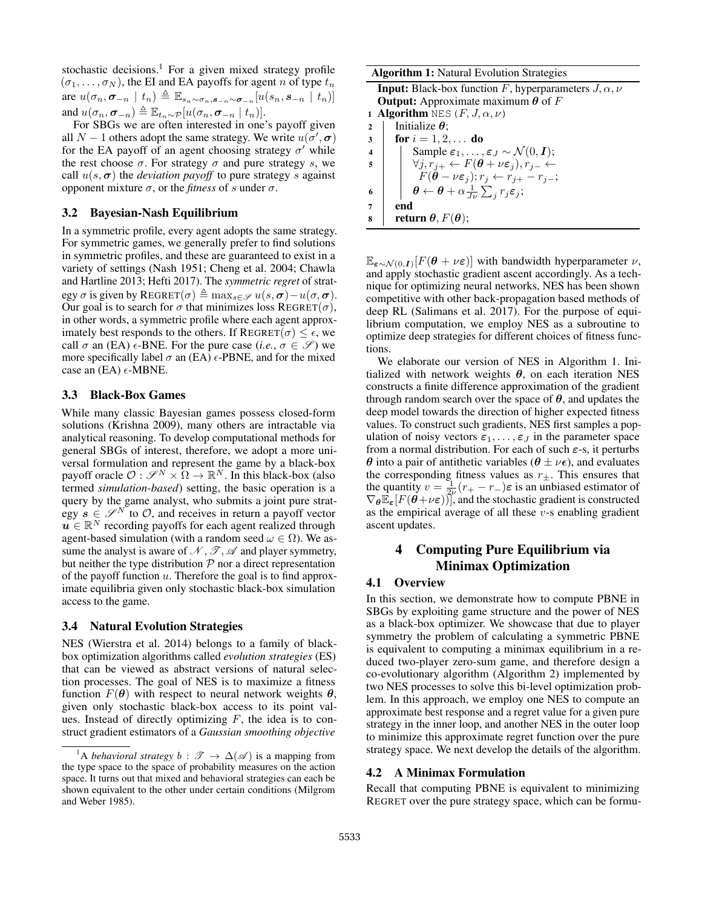stochastic decisions.<sup>1</sup> For a given mixed strategy profile  $(\sigma_1, \ldots, \sigma_N)$ , the EI and EA payoffs for agent n of type  $t_n$ are  $u(\sigma_n, \sigma_{-n} \mid t_n) \triangleq \mathbb{E}_{s_n \sim \sigma_n, s_{-n} \sim \sigma_{-n}}[u(s_n, s_{-n} \mid t_n)]$ and  $u(\sigma_n, \sigma_{-n}) \triangleq \mathbb{E}_{t_n \sim \mathcal{P}}[u(\sigma_n, \sigma_{-n} \mid t_n)].$ 

For SBGs we are often interested in one's payoff given all  $N-1$  others adopt the same strategy. We write  $u(\sigma', \sigma)$ for the EA payoff of an agent choosing strategy  $\sigma'$  while the rest choose  $\sigma$ . For strategy  $\sigma$  and pure strategy s, we call  $u(s, \sigma)$  the *deviation payoff* to pure strategy s against opponent mixture σ, or the *fitness* of s under σ.

### 3.2 Bayesian-Nash Equilibrium

In a symmetric profile, every agent adopts the same strategy. For symmetric games, we generally prefer to find solutions in symmetric profiles, and these are guaranteed to exist in a variety of settings (Nash 1951; Cheng et al. 2004; Chawla and Hartline 2013; Hefti 2017). The *symmetric regret* of strategy  $\sigma$  is given by REGRET $(\sigma) \triangleq \max_{s \in \mathcal{S}} u(s, \sigma) - u(\sigma, \sigma)$ . Our goal is to search for  $\sigma$  that minimizes loss REGRET( $\sigma$ ), in other words, a symmetric profile where each agent approximately best responds to the others. If  $REGRAPH(\sigma) \leq \epsilon$ , we call  $\sigma$  an (EA)  $\epsilon$ -BNE. For the pure case (*i.e.*,  $\sigma \in \mathscr{S}$ ) we more specifically label  $\sigma$  an (EA)  $\epsilon$ -PBNE, and for the mixed case an (EA)  $\epsilon$ -MBNE.

#### 3.3 Black-Box Games

While many classic Bayesian games possess closed-form solutions (Krishna 2009), many others are intractable via analytical reasoning. To develop computational methods for general SBGs of interest, therefore, we adopt a more universal formulation and represent the game by a black-box payoff oracle  $\mathcal{O}: \mathscr{S}^N \times \Omega \to \mathbb{R}^N$ . In this black-box (also termed *simulation-based*) setting, the basic operation is a query by the game analyst, who submits a joint pure strategy  $s \in \mathscr{S}^N$  to  $\mathcal{O}$ , and receives in return a payoff vector  $\mathbf{u} \in \mathbb{R}^N$  recording payoffs for each agent realized through agent-based simulation (with a random seed  $\omega \in \Omega$ ). We assume the analyst is aware of  $\mathcal{N}, \mathcal{I}, \mathcal{A}$  and player symmetry, but neither the type distribution  $P$  nor a direct representation of the payoff function  $u$ . Therefore the goal is to find approximate equilibria given only stochastic black-box simulation access to the game.

#### 3.4 Natural Evolution Strategies

NES (Wierstra et al. 2014) belongs to a family of blackbox optimization algorithms called *evolution strategies* (ES) that can be viewed as abstract versions of natural selection processes. The goal of NES is to maximize a fitness function  $F(\theta)$  with respect to neural network weights  $\theta$ , given only stochastic black-box access to its point values. Instead of directly optimizing  $F$ , the idea is to construct gradient estimators of a *Gaussian smoothing objective*

| <b>Algorithm 1:</b> Natural Evolution Strategies |                                                                                                           |  |  |  |
|--------------------------------------------------|-----------------------------------------------------------------------------------------------------------|--|--|--|
|                                                  | <b>Input:</b> Black-box function F, hyperparameters $J, \alpha, \nu$                                      |  |  |  |
|                                                  | <b>Output:</b> Approximate maximum $\theta$ of F                                                          |  |  |  |
|                                                  | <b>1 Algorithm</b> NES $(F, J, \alpha, \nu)$                                                              |  |  |  |
| $\mathbf{2}$                                     | Initialize $\theta$ :                                                                                     |  |  |  |
| 3                                                | for $i = 1, 2, $ do                                                                                       |  |  |  |
| 4                                                | Sample $\varepsilon_1, \ldots, \varepsilon_J \sim \mathcal{N}(0, I);$                                     |  |  |  |
| 5                                                | $\forall j, r_{j+} \leftarrow F(\boldsymbol{\theta} + \nu \boldsymbol{\varepsilon}_j), r_{j-} \leftarrow$ |  |  |  |
|                                                  | $F(\theta - \nu \varepsilon_j); r_j \leftarrow r_{i+} - r_{i-};$                                          |  |  |  |
| 6                                                | $\theta \leftarrow \theta + \alpha \frac{1}{I\nu} \sum_{i} r_i \varepsilon_i;$                            |  |  |  |
| 7                                                | end                                                                                                       |  |  |  |
| 8                                                | <b>return</b> $\theta$ , $F(\theta)$ ;                                                                    |  |  |  |

 $\mathbb{E}_{\boldsymbol{\varepsilon} \sim \mathcal{N}(0,\boldsymbol{I})}[F(\boldsymbol{\theta} + \nu \boldsymbol{\varepsilon})]$  with bandwidth hyperparameter  $\nu$ , and apply stochastic gradient ascent accordingly. As a technique for optimizing neural networks, NES has been shown competitive with other back-propagation based methods of deep RL (Salimans et al. 2017). For the purpose of equilibrium computation, we employ NES as a subroutine to optimize deep strategies for different choices of fitness functions.

We elaborate our version of NES in Algorithm 1. Initialized with network weights  $\theta$ , on each iteration NES constructs a finite difference approximation of the gradient through random search over the space of  $\theta$ , and updates the deep model towards the direction of higher expected fitness values. To construct such gradients, NES first samples a population of noisy vectors  $\varepsilon_1, \ldots, \varepsilon_J$  in the parameter space from a normal distribution. For each of such  $\varepsilon$ -s, it perturbs  $\theta$  into a pair of antithetic variables ( $\theta \pm \nu \epsilon$ ), and evaluates the corresponding fitness values as  $r_{\pm}$ . This ensures that the quantity  $v = \frac{1}{2\nu}(r_{+} - r_{-})\varepsilon$  is an unbiased estimator of  $\nabla_{\theta} \mathbb{E}_{\varepsilon}[F(\theta + \nu \varepsilon)]$ , and the stochastic gradient is constructed as the empirical average of all these  $v$ -s enabling gradient ascent updates.

# 4 Computing Pure Equilibrium via Minimax Optimization

#### 4.1 Overview

In this section, we demonstrate how to compute PBNE in SBGs by exploiting game structure and the power of NES as a black-box optimizer. We showcase that due to player symmetry the problem of calculating a symmetric PBNE is equivalent to computing a minimax equilibrium in a reduced two-player zero-sum game, and therefore design a co-evolutionary algorithm (Algorithm 2) implemented by two NES processes to solve this bi-level optimization problem. In this approach, we employ one NES to compute an approximate best response and a regret value for a given pure strategy in the inner loop, and another NES in the outer loop to minimize this approximate regret function over the pure strategy space. We next develop the details of the algorithm.

#### 4.2 A Minimax Formulation

Recall that computing PBNE is equivalent to minimizing REGRET over the pure strategy space, which can be formu-

<sup>&</sup>lt;sup>1</sup>A *behavioral strategy*  $b : \mathscr{T} \to \Delta(\mathscr{A})$  is a mapping from the type space to the space of probability measures on the action space. It turns out that mixed and behavioral strategies can each be shown equivalent to the other under certain conditions (Milgrom and Weber 1985).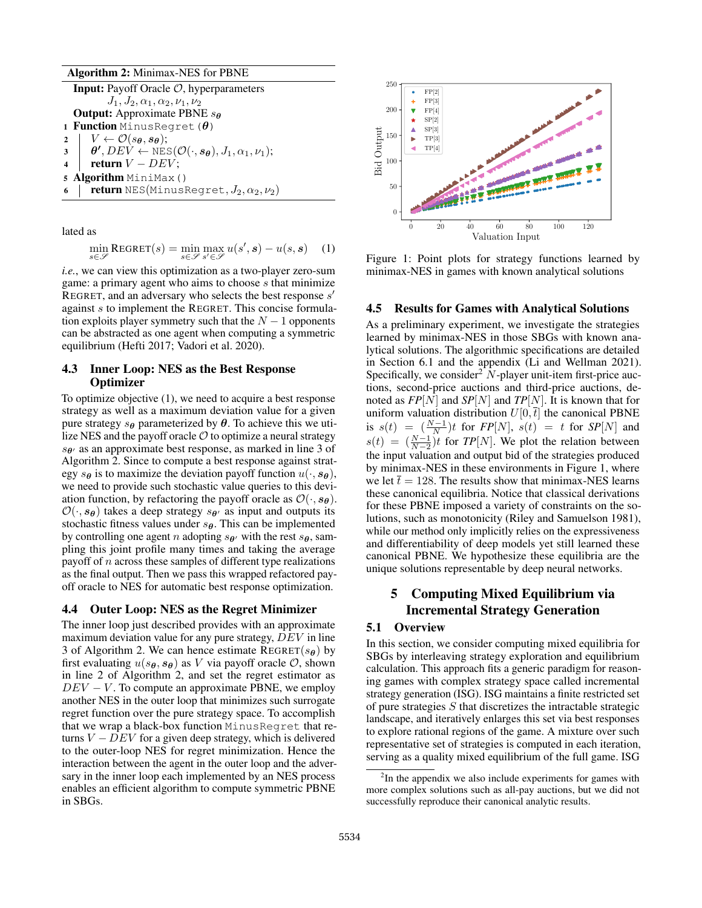#### Algorithm 2: Minimax-NES for PBNE

Input: Payoff Oracle O, hyperparameters  $J_1,J_2,\alpha_1,\alpha_2,\nu_1,\nu_2$ **Output:** Approximate PBNE  $s_{\theta}$ 1 **Function** MinusRegret( $\theta$ ) 2 |  $V \leftarrow \mathcal{O}(s_{\theta}, s_{\theta});$  $\begin{aligned} \mathbf{3} \quad & \mid \quad \boldsymbol{\theta'}, DEV \leftarrow \text{NES}(\mathcal{O}(\cdot, \boldsymbol{s_{\theta}}), J_1, \alpha_1, \nu_1); \end{aligned}$ 4 | return  $V - DEV$ ; <sup>5</sup> Algorithm MiniMax() 6 **return** NES(MinusRegret,  $J_2, \alpha_2, \nu_2$ )

lated as

$$
\min_{s \in \mathcal{S}} \text{REGRET}(s) = \min_{s \in \mathcal{S}} \max_{s' \in \mathcal{S}} u(s', s) - u(s, s) \quad (1)
$$

*i.e.*, we can view this optimization as a two-player zero-sum game: a primary agent who aims to choose s that minimize REGRET, and an adversary who selects the best response  $s'$ against s to implement the REGRET. This concise formulation exploits player symmetry such that the  $N - 1$  opponents can be abstracted as one agent when computing a symmetric equilibrium (Hefti 2017; Vadori et al. 2020).

## 4.3 Inner Loop: NES as the Best Response **Optimizer**

To optimize objective (1), we need to acquire a best response strategy as well as a maximum deviation value for a given pure strategy  $s_{\theta}$  parameterized by  $\theta$ . To achieve this we utilize NES and the payoff oracle  $\mathcal O$  to optimize a neural strategy  $s_{\theta}$  as an approximate best response, as marked in line 3 of Algorithm 2. Since to compute a best response against strategy  $s_{\theta}$  is to maximize the deviation payoff function  $u(\cdot, s_{\theta})$ , we need to provide such stochastic value queries to this deviation function, by refactoring the payoff oracle as  $\mathcal{O}(\cdot, s_{\theta})$ .  $\mathcal{O}(\cdot, s_{\theta})$  takes a deep strategy  $s_{\theta'}$  as input and outputs its stochastic fitness values under  $s_{\theta}$ . This can be implemented by controlling one agent n adopting  $s_{\theta}$  with the rest  $s_{\theta}$ , sampling this joint profile many times and taking the average payoff of  $n$  across these samples of different type realizations as the final output. Then we pass this wrapped refactored payoff oracle to NES for automatic best response optimization.

#### 4.4 Outer Loop: NES as the Regret Minimizer

The inner loop just described provides with an approximate maximum deviation value for any pure strategy,  $DEV$  in line 3 of Algorithm 2. We can hence estimate REGRET( $s_{\theta}$ ) by first evaluating  $u(s_{\theta}, s_{\theta})$  as V via payoff oracle  $\mathcal{O}$ , shown in line 2 of Algorithm 2, and set the regret estimator as  $DEV - V$ . To compute an approximate PBNE, we employ another NES in the outer loop that minimizes such surrogate regret function over the pure strategy space. To accomplish that we wrap a black-box function MinusRegret that returns  $V - DEV$  for a given deep strategy, which is delivered to the outer-loop NES for regret minimization. Hence the interaction between the agent in the outer loop and the adversary in the inner loop each implemented by an NES process enables an efficient algorithm to compute symmetric PBNE in SBGs.



Figure 1: Point plots for strategy functions learned by minimax-NES in games with known analytical solutions

#### 4.5 Results for Games with Analytical Solutions

As a preliminary experiment, we investigate the strategies learned by minimax-NES in those SBGs with known analytical solutions. The algorithmic specifications are detailed in Section 6.1 and the appendix (Li and Wellman 2021). Specifically, we consider<sup>2</sup>  $N$ -player unit-item first-price auctions, second-price auctions and third-price auctions, denoted as *FP*[N] and *SP*[N] and *TP*[N]. It is known that for uniform valuation distribution  $U[0,\bar{t}]$  the canonical PBNE is  $s(t) = \left(\frac{N-1}{N}\right)t$  for  $FP[N]$ ,  $s(t) = t$  for  $SP[N]$  and  $s(t) = \left(\frac{N-1}{N-2}\right)t$  for *TP*[*N*]. We plot the relation between the input valuation and output bid of the strategies produced by minimax-NES in these environments in Figure 1, where we let  $\bar{t} = 128$ . The results show that minimax-NES learns these canonical equilibria. Notice that classical derivations for these PBNE imposed a variety of constraints on the solutions, such as monotonicity (Riley and Samuelson 1981), while our method only implicitly relies on the expressiveness and differentiability of deep models yet still learned these canonical PBNE. We hypothesize these equilibria are the unique solutions representable by deep neural networks.

# 5 Computing Mixed Equilibrium via Incremental Strategy Generation

### 5.1 Overview

In this section, we consider computing mixed equilibria for SBGs by interleaving strategy exploration and equilibrium calculation. This approach fits a generic paradigm for reasoning games with complex strategy space called incremental strategy generation (ISG). ISG maintains a finite restricted set of pure strategies  $S$  that discretizes the intractable strategic landscape, and iteratively enlarges this set via best responses to explore rational regions of the game. A mixture over such representative set of strategies is computed in each iteration, serving as a quality mixed equilibrium of the full game. ISG

 $2$ In the appendix we also include experiments for games with more complex solutions such as all-pay auctions, but we did not successfully reproduce their canonical analytic results.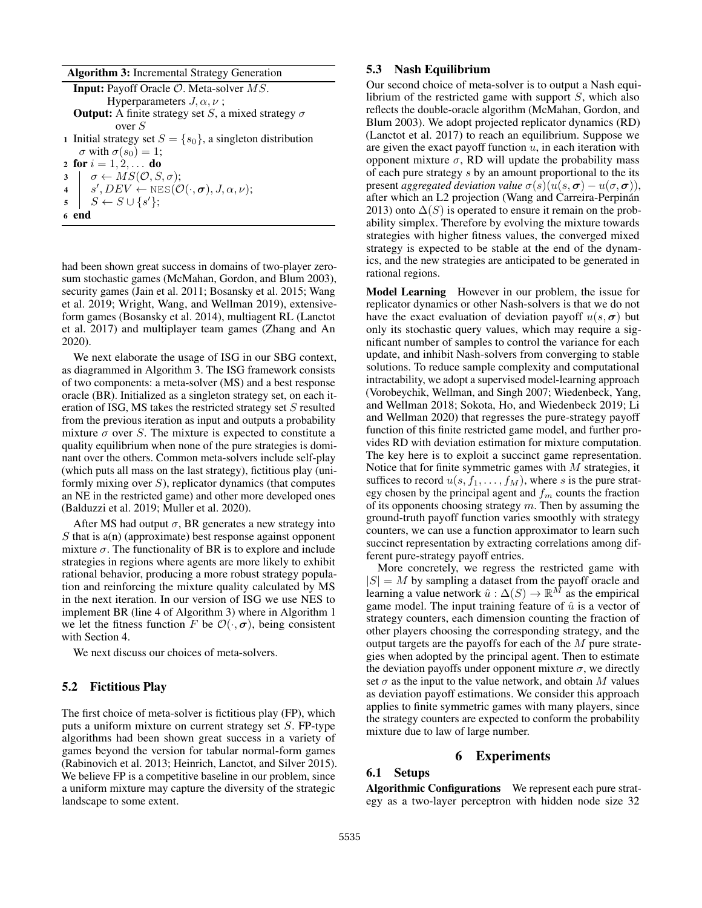|  |  | Algorithm 3: Incremental Strategy Generation |  |  |
|--|--|----------------------------------------------|--|--|
|--|--|----------------------------------------------|--|--|

|             | <b>Input:</b> Payoff Oracle $\mathcal{O}$ . Meta-solver MS.                    |
|-------------|--------------------------------------------------------------------------------|
|             | Hyperparameters $J, \alpha, \nu$ ;                                             |
|             | <b>Output:</b> A finite strategy set S, a mixed strategy $\sigma$              |
|             | over $S$                                                                       |
|             | 1 Initial strategy set $S = \{s_0\}$ , a singleton distribution                |
|             | $\sigma$ with $\sigma(s_0)=1$ ;                                                |
|             | 2 for $i = 1, 2, $ do                                                          |
|             | $\sigma \leftarrow MS(\mathcal{O}, S, \sigma);$                                |
|             | 4 $s', DEV \leftarrow \text{NES}(\mathcal{O}(\cdot, \sigma), J, \alpha, \nu);$ |
| $5^{\circ}$ | $S \leftarrow S \cup \{s'\};$                                                  |
|             | 6 end                                                                          |
|             |                                                                                |

had been shown great success in domains of two-player zerosum stochastic games (McMahan, Gordon, and Blum 2003), security games (Jain et al. 2011; Bosansky et al. 2015; Wang et al. 2019; Wright, Wang, and Wellman 2019), extensiveform games (Bosansky et al. 2014), multiagent RL (Lanctot et al. 2017) and multiplayer team games (Zhang and An 2020).

We next elaborate the usage of ISG in our SBG context, as diagrammed in Algorithm 3. The ISG framework consists of two components: a meta-solver (MS) and a best response oracle (BR). Initialized as a singleton strategy set, on each iteration of ISG, MS takes the restricted strategy set S resulted from the previous iteration as input and outputs a probability mixture  $\sigma$  over S. The mixture is expected to constitute a quality equilibrium when none of the pure strategies is dominant over the others. Common meta-solvers include self-play (which puts all mass on the last strategy), fictitious play (uniformly mixing over  $S$ ), replicator dynamics (that computes an NE in the restricted game) and other more developed ones (Balduzzi et al. 2019; Muller et al. 2020).

After MS had output  $\sigma$ , BR generates a new strategy into  $S$  that is  $a(n)$  (approximate) best response against opponent mixture  $\sigma$ . The functionality of BR is to explore and include strategies in regions where agents are more likely to exhibit rational behavior, producing a more robust strategy population and reinforcing the mixture quality calculated by MS in the next iteration. In our version of ISG we use NES to implement BR (line 4 of Algorithm 3) where in Algorithm 1 we let the fitness function F be  $\mathcal{O}(\cdot, \sigma)$ , being consistent with Section 4.

We next discuss our choices of meta-solvers.

### 5.2 Fictitious Play

The first choice of meta-solver is fictitious play (FP), which puts a uniform mixture on current strategy set S. FP-type algorithms had been shown great success in a variety of games beyond the version for tabular normal-form games (Rabinovich et al. 2013; Heinrich, Lanctot, and Silver 2015). We believe FP is a competitive baseline in our problem, since a uniform mixture may capture the diversity of the strategic landscape to some extent.

## 5.3 Nash Equilibrium

Our second choice of meta-solver is to output a Nash equilibrium of the restricted game with support  $S$ , which also reflects the double-oracle algorithm (McMahan, Gordon, and Blum 2003). We adopt projected replicator dynamics (RD) (Lanctot et al. 2017) to reach an equilibrium. Suppose we are given the exact payoff function  $u$ , in each iteration with opponent mixture  $\sigma$ , RD will update the probability mass of each pure strategy s by an amount proportional to the its present *aggregated deviation value*  $\sigma(s)(u(s, \sigma) - u(\sigma, \sigma))$ , after which an L2 projection (Wang and Carreira-Perpinán 2013) onto  $\Delta(S)$  is operated to ensure it remain on the probability simplex. Therefore by evolving the mixture towards strategies with higher fitness values, the converged mixed strategy is expected to be stable at the end of the dynamics, and the new strategies are anticipated to be generated in rational regions.

Model Learning However in our problem, the issue for replicator dynamics or other Nash-solvers is that we do not have the exact evaluation of deviation payoff  $u(s, \sigma)$  but only its stochastic query values, which may require a significant number of samples to control the variance for each update, and inhibit Nash-solvers from converging to stable solutions. To reduce sample complexity and computational intractability, we adopt a supervised model-learning approach (Vorobeychik, Wellman, and Singh 2007; Wiedenbeck, Yang, and Wellman 2018; Sokota, Ho, and Wiedenbeck 2019; Li and Wellman 2020) that regresses the pure-strategy payoff function of this finite restricted game model, and further provides RD with deviation estimation for mixture computation. The key here is to exploit a succinct game representation. Notice that for finite symmetric games with  $M$  strategies, it suffices to record  $u(s, f_1, \ldots, f_M)$ , where s is the pure strategy chosen by the principal agent and  $f<sub>m</sub>$  counts the fraction of its opponents choosing strategy  $m$ . Then by assuming the ground-truth payoff function varies smoothly with strategy counters, we can use a function approximator to learn such succinct representation by extracting correlations among different pure-strategy payoff entries.

More concretely, we regress the restricted game with  $|S| = M$  by sampling a dataset from the payoff oracle and learning a value network  $\hat{u}: \Delta(S) \to \mathbb{R}^M$  as the empirical game model. The input training feature of  $\hat{u}$  is a vector of strategy counters, each dimension counting the fraction of other players choosing the corresponding strategy, and the output targets are the payoffs for each of the M pure strategies when adopted by the principal agent. Then to estimate the deviation payoffs under opponent mixture  $\sigma$ , we directly set  $\sigma$  as the input to the value network, and obtain M values as deviation payoff estimations. We consider this approach applies to finite symmetric games with many players, since the strategy counters are expected to conform the probability mixture due to law of large number.

# 6 Experiments

# 6.1 Setups

Algorithmic Configurations We represent each pure strategy as a two-layer perceptron with hidden node size 32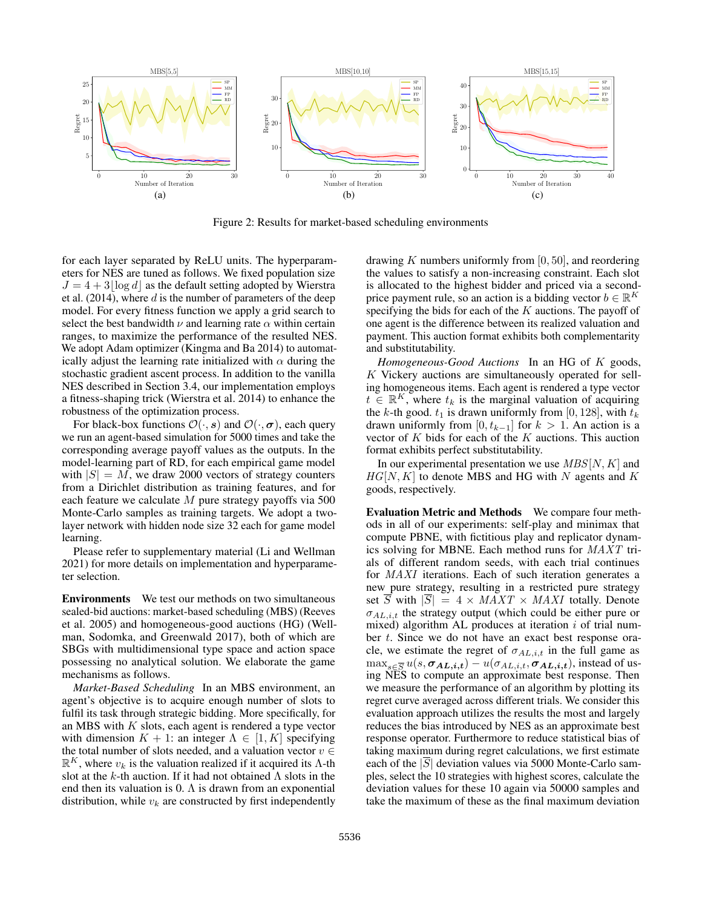

Figure 2: Results for market-based scheduling environments

for each layer separated by ReLU units. The hyperparameters for NES are tuned as follows. We fixed population size  $J = 4 + 3|\log d|$  as the default setting adopted by Wierstra et al.  $(2014)$ , where d is the number of parameters of the deep model. For every fitness function we apply a grid search to select the best bandwidth  $\nu$  and learning rate  $\alpha$  within certain ranges, to maximize the performance of the resulted NES. We adopt Adam optimizer (Kingma and Ba 2014) to automatically adjust the learning rate initialized with  $\alpha$  during the stochastic gradient ascent process. In addition to the vanilla NES described in Section 3.4, our implementation employs a fitness-shaping trick (Wierstra et al. 2014) to enhance the robustness of the optimization process.

For black-box functions  $\mathcal{O}(\cdot, s)$  and  $\mathcal{O}(\cdot, \sigma)$ , each query we run an agent-based simulation for 5000 times and take the corresponding average payoff values as the outputs. In the model-learning part of RD, for each empirical game model with  $|S| = M$ , we draw 2000 vectors of strategy counters from a Dirichlet distribution as training features, and for each feature we calculate M pure strategy payoffs via 500 Monte-Carlo samples as training targets. We adopt a twolayer network with hidden node size 32 each for game model learning.

Please refer to supplementary material (Li and Wellman 2021) for more details on implementation and hyperparameter selection.

Environments We test our methods on two simultaneous sealed-bid auctions: market-based scheduling (MBS) (Reeves et al. 2005) and homogeneous-good auctions (HG) (Wellman, Sodomka, and Greenwald 2017), both of which are SBGs with multidimensional type space and action space possessing no analytical solution. We elaborate the game mechanisms as follows.

*Market-Based Scheduling* In an MBS environment, an agent's objective is to acquire enough number of slots to fulfil its task through strategic bidding. More specifically, for an MBS with  $K$  slots, each agent is rendered a type vector with dimension  $K + 1$ : an integer  $\Lambda \in [1, K]$  specifying the total number of slots needed, and a valuation vector  $v \in$  $\mathbb{R}^K$ , where  $v_k$  is the valuation realized if it acquired its  $\Lambda$ -th slot at the k-th auction. If it had not obtained  $\Lambda$  slots in the end then its valuation is 0.  $\Lambda$  is drawn from an exponential distribution, while  $v_k$  are constructed by first independently drawing K numbers uniformly from  $[0, 50]$ , and reordering the values to satisfy a non-increasing constraint. Each slot is allocated to the highest bidder and priced via a secondprice payment rule, so an action is a bidding vector  $b \in \mathbb{R}^K$ specifying the bids for each of the  $K$  auctions. The payoff of one agent is the difference between its realized valuation and payment. This auction format exhibits both complementarity and substitutability.

*Homogeneous-Good Auctions* In an HG of K goods, K Vickery auctions are simultaneously operated for selling homogeneous items. Each agent is rendered a type vector  $t \in \mathbb{R}^K$ , where  $t_k$  is the marginal valuation of acquiring the k-th good.  $t_1$  is drawn uniformly from [0, 128], with  $t_k$ drawn uniformly from [0,  $t_{k-1}$ ] for  $k > 1$ . An action is a vector of  $K$  bids for each of the  $K$  auctions. This auction format exhibits perfect substitutability.

In our experimental presentation we use  $MBS[N, K]$  and  $HG[N, K]$  to denote MBS and HG with N agents and K goods, respectively.

Evaluation Metric and Methods We compare four methods in all of our experiments: self-play and minimax that compute PBNE, with fictitious play and replicator dynamics solving for MBNE. Each method runs for MAXT trials of different random seeds, with each trial continues for MAXI iterations. Each of such iteration generates a new pure strategy, resulting in a restricted pure strategy set  $\overline{S}$  with  $|\overline{S}| = 4 \times MAXT \times MAXI$  totally. Denote  $\sigma_{AL,i,t}$  the strategy output (which could be either pure or mixed) algorithm AL produces at iteration  $i$  of trial number t. Since we do not have an exact best response oracle, we estimate the regret of  $\sigma_{AL,i,t}$  in the full game as  $\max_{s \in \overline{S}} u(s, \pmb{\sigma_{AL,i,t}}) - u(\sigma_{AL,i,t}, \pmb{\sigma_{AL,i,t}})$ , instead of using NES to compute an approximate best response. Then we measure the performance of an algorithm by plotting its regret curve averaged across different trials. We consider this evaluation approach utilizes the results the most and largely reduces the bias introduced by NES as an approximate best response operator. Furthermore to reduce statistical bias of taking maximum during regret calculations, we first estimate each of the  $|\overline{S}|$  deviation values via 5000 Monte-Carlo samples, select the 10 strategies with highest scores, calculate the deviation values for these 10 again via 50000 samples and take the maximum of these as the final maximum deviation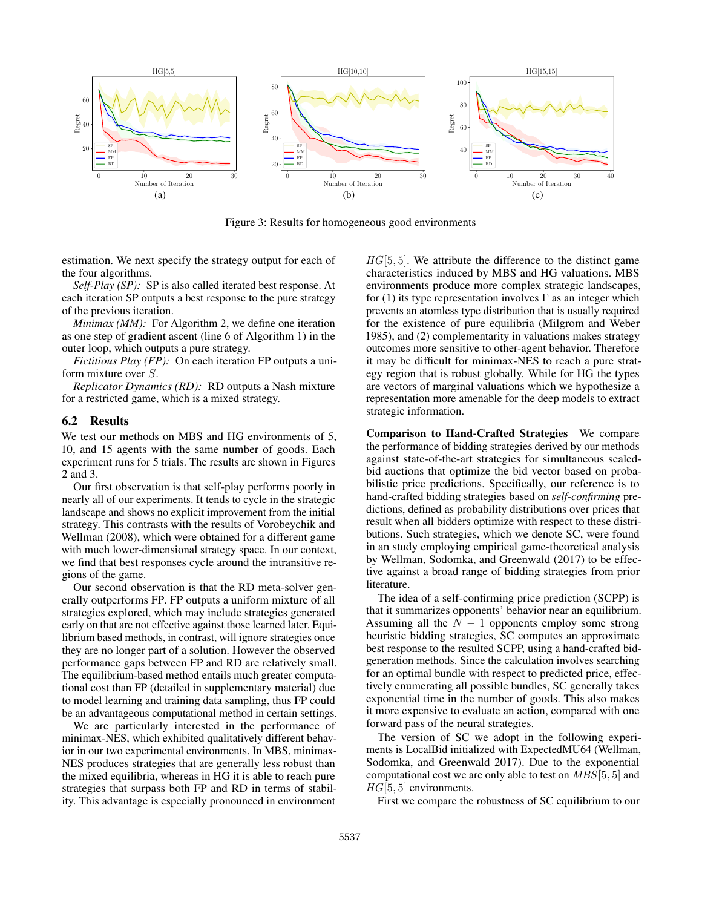

Figure 3: Results for homogeneous good environments

estimation. We next specify the strategy output for each of the four algorithms.

*Self-Play (SP):* SP is also called iterated best response. At each iteration SP outputs a best response to the pure strategy of the previous iteration.

*Minimax (MM):* For Algorithm 2, we define one iteration as one step of gradient ascent (line 6 of Algorithm 1) in the outer loop, which outputs a pure strategy.

*Fictitious Play (FP):* On each iteration FP outputs a uniform mixture over S.

*Replicator Dynamics (RD):* RD outputs a Nash mixture for a restricted game, which is a mixed strategy.

## 6.2 Results

We test our methods on MBS and HG environments of 5, 10, and 15 agents with the same number of goods. Each experiment runs for 5 trials. The results are shown in Figures 2 and 3.

Our first observation is that self-play performs poorly in nearly all of our experiments. It tends to cycle in the strategic landscape and shows no explicit improvement from the initial strategy. This contrasts with the results of Vorobeychik and Wellman (2008), which were obtained for a different game with much lower-dimensional strategy space. In our context, we find that best responses cycle around the intransitive regions of the game.

Our second observation is that the RD meta-solver generally outperforms FP. FP outputs a uniform mixture of all strategies explored, which may include strategies generated early on that are not effective against those learned later. Equilibrium based methods, in contrast, will ignore strategies once they are no longer part of a solution. However the observed performance gaps between FP and RD are relatively small. The equilibrium-based method entails much greater computational cost than FP (detailed in supplementary material) due to model learning and training data sampling, thus FP could be an advantageous computational method in certain settings.

We are particularly interested in the performance of minimax-NES, which exhibited qualitatively different behavior in our two experimental environments. In MBS, minimax-NES produces strategies that are generally less robust than the mixed equilibria, whereas in HG it is able to reach pure strategies that surpass both FP and RD in terms of stability. This advantage is especially pronounced in environment

 $HG[5, 5]$ . We attribute the difference to the distinct game characteristics induced by MBS and HG valuations. MBS environments produce more complex strategic landscapes, for (1) its type representation involves  $\Gamma$  as an integer which prevents an atomless type distribution that is usually required for the existence of pure equilibria (Milgrom and Weber 1985), and (2) complementarity in valuations makes strategy outcomes more sensitive to other-agent behavior. Therefore it may be difficult for minimax-NES to reach a pure strategy region that is robust globally. While for HG the types are vectors of marginal valuations which we hypothesize a representation more amenable for the deep models to extract strategic information.

Comparison to Hand-Crafted Strategies We compare the performance of bidding strategies derived by our methods against state-of-the-art strategies for simultaneous sealedbid auctions that optimize the bid vector based on probabilistic price predictions. Specifically, our reference is to hand-crafted bidding strategies based on *self-confirming* predictions, defined as probability distributions over prices that result when all bidders optimize with respect to these distributions. Such strategies, which we denote SC, were found in an study employing empirical game-theoretical analysis by Wellman, Sodomka, and Greenwald (2017) to be effective against a broad range of bidding strategies from prior literature.

The idea of a self-confirming price prediction (SCPP) is that it summarizes opponents' behavior near an equilibrium. Assuming all the  $N - 1$  opponents employ some strong heuristic bidding strategies, SC computes an approximate best response to the resulted SCPP, using a hand-crafted bidgeneration methods. Since the calculation involves searching for an optimal bundle with respect to predicted price, effectively enumerating all possible bundles, SC generally takes exponential time in the number of goods. This also makes it more expensive to evaluate an action, compared with one forward pass of the neural strategies.

The version of SC we adopt in the following experiments is LocalBid initialized with ExpectedMU64 (Wellman, Sodomka, and Greenwald 2017). Due to the exponential computational cost we are only able to test on  $MBS[5, 5]$  and  $HG[5, 5]$  environments.

First we compare the robustness of SC equilibrium to our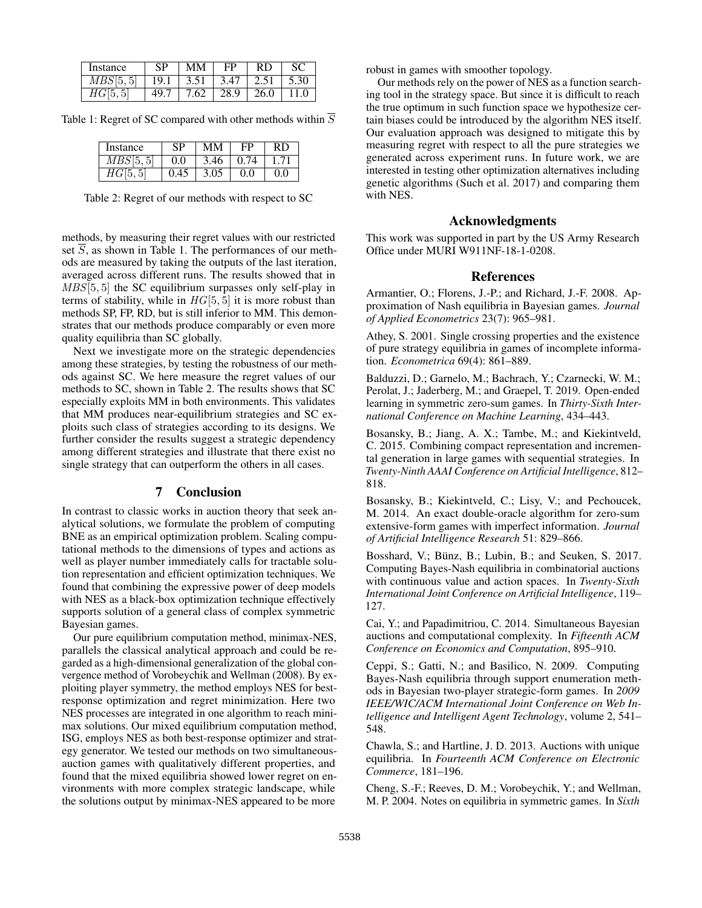| Instance | SP   | MМ           | FP   | RD   |      |
|----------|------|--------------|------|------|------|
| MBS[5,5] | 19.1 | $\vert 3.51$ | 3.47 | 2.51 | 5.30 |
| HG 5,    | 49.7 | 7.62         | 28.9 | 26.0 | 11.0 |

Table 1: Regret of SC compared with other methods within  $\overline{S}$ 

| Instance  | SP   | MМ   | FP   | RD    |
|-----------|------|------|------|-------|
| MBS[5, 5] | 0.0  | 3.46 | 0.74 | 1 71  |
| HG 5      | 0.45 | 3.05 | 0.0  | (0.0) |

Table 2: Regret of our methods with respect to SC

methods, by measuring their regret values with our restricted set S, as shown in Table 1. The performances of our methods are measured by taking the outputs of the last iteration, averaged across different runs. The results showed that in MBS[5,5] the SC equilibrium surpasses only self-play in terms of stability, while in  $HG[5, 5]$  it is more robust than methods SP, FP, RD, but is still inferior to MM. This demonstrates that our methods produce comparably or even more quality equilibria than SC globally.

Next we investigate more on the strategic dependencies among these strategies, by testing the robustness of our methods against SC. We here measure the regret values of our methods to SC, shown in Table 2. The results shows that SC especially exploits MM in both environments. This validates that MM produces near-equilibrium strategies and SC exploits such class of strategies according to its designs. We further consider the results suggest a strategic dependency among different strategies and illustrate that there exist no single strategy that can outperform the others in all cases.

## 7 Conclusion

In contrast to classic works in auction theory that seek analytical solutions, we formulate the problem of computing BNE as an empirical optimization problem. Scaling computational methods to the dimensions of types and actions as well as player number immediately calls for tractable solution representation and efficient optimization techniques. We found that combining the expressive power of deep models with NES as a black-box optimization technique effectively supports solution of a general class of complex symmetric Bayesian games.

Our pure equilibrium computation method, minimax-NES, parallels the classical analytical approach and could be regarded as a high-dimensional generalization of the global convergence method of Vorobeychik and Wellman (2008). By exploiting player symmetry, the method employs NES for bestresponse optimization and regret minimization. Here two NES processes are integrated in one algorithm to reach minimax solutions. Our mixed equilibrium computation method, ISG, employs NES as both best-response optimizer and strategy generator. We tested our methods on two simultaneousauction games with qualitatively different properties, and found that the mixed equilibria showed lower regret on environments with more complex strategic landscape, while the solutions output by minimax-NES appeared to be more

robust in games with smoother topology.

Our methods rely on the power of NES as a function searching tool in the strategy space. But since it is difficult to reach the true optimum in such function space we hypothesize certain biases could be introduced by the algorithm NES itself. Our evaluation approach was designed to mitigate this by measuring regret with respect to all the pure strategies we generated across experiment runs. In future work, we are interested in testing other optimization alternatives including genetic algorithms (Such et al. 2017) and comparing them with NES.

## Acknowledgments

This work was supported in part by the US Army Research Office under MURI W911NF-18-1-0208.

## References

Armantier, O.; Florens, J.-P.; and Richard, J.-F. 2008. Approximation of Nash equilibria in Bayesian games. *Journal of Applied Econometrics* 23(7): 965–981.

Athey, S. 2001. Single crossing properties and the existence of pure strategy equilibria in games of incomplete information. *Econometrica* 69(4): 861–889.

Balduzzi, D.; Garnelo, M.; Bachrach, Y.; Czarnecki, W. M.; Perolat, J.; Jaderberg, M.; and Graepel, T. 2019. Open-ended learning in symmetric zero-sum games. In *Thirty-Sixth International Conference on Machine Learning*, 434–443.

Bosansky, B.; Jiang, A. X.; Tambe, M.; and Kiekintveld, C. 2015. Combining compact representation and incremental generation in large games with sequential strategies. In *Twenty-Ninth AAAI Conference on Artificial Intelligence*, 812– 818.

Bosansky, B.; Kiekintveld, C.; Lisy, V.; and Pechoucek, M. 2014. An exact double-oracle algorithm for zero-sum extensive-form games with imperfect information. *Journal of Artificial Intelligence Research* 51: 829–866.

Bosshard, V.; Bünz, B.; Lubin, B.; and Seuken, S. 2017. Computing Bayes-Nash equilibria in combinatorial auctions with continuous value and action spaces. In *Twenty-Sixth International Joint Conference on Artificial Intelligence*, 119– 127.

Cai, Y.; and Papadimitriou, C. 2014. Simultaneous Bayesian auctions and computational complexity. In *Fifteenth ACM Conference on Economics and Computation*, 895–910.

Ceppi, S.; Gatti, N.; and Basilico, N. 2009. Computing Bayes-Nash equilibria through support enumeration methods in Bayesian two-player strategic-form games. In *2009 IEEE/WIC/ACM International Joint Conference on Web Intelligence and Intelligent Agent Technology*, volume 2, 541– 548.

Chawla, S.; and Hartline, J. D. 2013. Auctions with unique equilibria. In *Fourteenth ACM Conference on Electronic Commerce*, 181–196.

Cheng, S.-F.; Reeves, D. M.; Vorobeychik, Y.; and Wellman, M. P. 2004. Notes on equilibria in symmetric games. In *Sixth*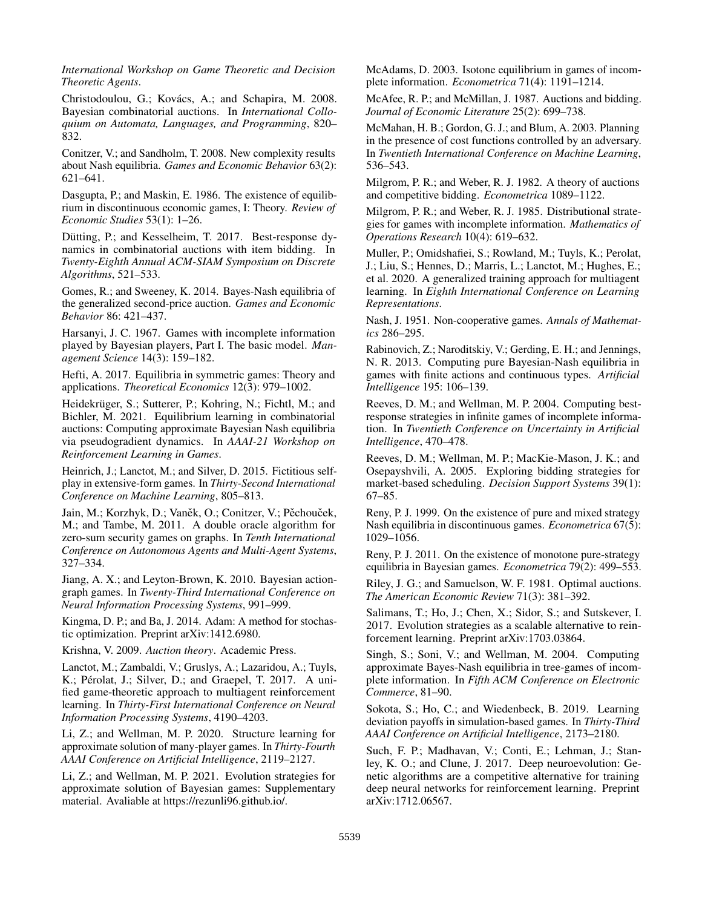*International Workshop on Game Theoretic and Decision Theoretic Agents*.

Christodoulou, G.; Kovács, A.; and Schapira, M. 2008. Bayesian combinatorial auctions. In *International Colloquium on Automata, Languages, and Programming*, 820– 832.

Conitzer, V.; and Sandholm, T. 2008. New complexity results about Nash equilibria. *Games and Economic Behavior* 63(2): 621–641.

Dasgupta, P.; and Maskin, E. 1986. The existence of equilibrium in discontinuous economic games, I: Theory. *Review of Economic Studies* 53(1): 1–26.

Dütting, P.; and Kesselheim, T. 2017. Best-response dynamics in combinatorial auctions with item bidding. In *Twenty-Eighth Annual ACM-SIAM Symposium on Discrete Algorithms*, 521–533.

Gomes, R.; and Sweeney, K. 2014. Bayes-Nash equilibria of the generalized second-price auction. *Games and Economic Behavior* 86: 421–437.

Harsanyi, J. C. 1967. Games with incomplete information played by Bayesian players, Part I. The basic model. *Management Science* 14(3): 159–182.

Hefti, A. 2017. Equilibria in symmetric games: Theory and applications. *Theoretical Economics* 12(3): 979–1002.

Heidekrüger, S.; Sutterer, P.; Kohring, N.; Fichtl, M.; and Bichler, M. 2021. Equilibrium learning in combinatorial auctions: Computing approximate Bayesian Nash equilibria via pseudogradient dynamics. In *AAAI-21 Workshop on Reinforcement Learning in Games*.

Heinrich, J.; Lanctot, M.; and Silver, D. 2015. Fictitious selfplay in extensive-form games. In *Thirty-Second International Conference on Machine Learning*, 805–813.

Jain, M.; Korzhyk, D.; Vaněk, O.; Conitzer, V.; Pěchouček, M.; and Tambe, M. 2011. A double oracle algorithm for zero-sum security games on graphs. In *Tenth International Conference on Autonomous Agents and Multi-Agent Systems*, 327–334.

Jiang, A. X.; and Leyton-Brown, K. 2010. Bayesian actiongraph games. In *Twenty-Third International Conference on Neural Information Processing Systems*, 991–999.

Kingma, D. P.; and Ba, J. 2014. Adam: A method for stochastic optimization. Preprint arXiv:1412.6980.

Krishna, V. 2009. *Auction theory*. Academic Press.

Lanctot, M.; Zambaldi, V.; Gruslys, A.; Lazaridou, A.; Tuyls, K.; Pérolat, J.; Silver, D.; and Graepel, T. 2017. A unified game-theoretic approach to multiagent reinforcement learning. In *Thirty-First International Conference on Neural Information Processing Systems*, 4190–4203.

Li, Z.; and Wellman, M. P. 2020. Structure learning for approximate solution of many-player games. In *Thirty-Fourth AAAI Conference on Artificial Intelligence*, 2119–2127.

Li, Z.; and Wellman, M. P. 2021. Evolution strategies for approximate solution of Bayesian games: Supplementary material. Avaliable at https://rezunli96.github.io/.

McAdams, D. 2003. Isotone equilibrium in games of incomplete information. *Econometrica* 71(4): 1191–1214.

McAfee, R. P.; and McMillan, J. 1987. Auctions and bidding. *Journal of Economic Literature* 25(2): 699–738.

McMahan, H. B.; Gordon, G. J.; and Blum, A. 2003. Planning in the presence of cost functions controlled by an adversary. In *Twentieth International Conference on Machine Learning*, 536–543.

Milgrom, P. R.; and Weber, R. J. 1982. A theory of auctions and competitive bidding. *Econometrica* 1089–1122.

Milgrom, P. R.; and Weber, R. J. 1985. Distributional strategies for games with incomplete information. *Mathematics of Operations Research* 10(4): 619–632.

Muller, P.; Omidshafiei, S.; Rowland, M.; Tuyls, K.; Perolat, J.; Liu, S.; Hennes, D.; Marris, L.; Lanctot, M.; Hughes, E.; et al. 2020. A generalized training approach for multiagent learning. In *Eighth International Conference on Learning Representations*.

Nash, J. 1951. Non-cooperative games. *Annals of Mathematics* 286–295.

Rabinovich, Z.; Naroditskiy, V.; Gerding, E. H.; and Jennings, N. R. 2013. Computing pure Bayesian-Nash equilibria in games with finite actions and continuous types. *Artificial Intelligence* 195: 106–139.

Reeves, D. M.; and Wellman, M. P. 2004. Computing bestresponse strategies in infinite games of incomplete information. In *Twentieth Conference on Uncertainty in Artificial Intelligence*, 470–478.

Reeves, D. M.; Wellman, M. P.; MacKie-Mason, J. K.; and Osepayshvili, A. 2005. Exploring bidding strategies for market-based scheduling. *Decision Support Systems* 39(1): 67–85.

Reny, P. J. 1999. On the existence of pure and mixed strategy Nash equilibria in discontinuous games. *Econometrica* 67(5): 1029–1056.

Reny, P. J. 2011. On the existence of monotone pure-strategy equilibria in Bayesian games. *Econometrica* 79(2): 499–553.

Riley, J. G.; and Samuelson, W. F. 1981. Optimal auctions. *The American Economic Review* 71(3): 381–392.

Salimans, T.; Ho, J.; Chen, X.; Sidor, S.; and Sutskever, I. 2017. Evolution strategies as a scalable alternative to reinforcement learning. Preprint arXiv:1703.03864.

Singh, S.; Soni, V.; and Wellman, M. 2004. Computing approximate Bayes-Nash equilibria in tree-games of incomplete information. In *Fifth ACM Conference on Electronic Commerce*, 81–90.

Sokota, S.; Ho, C.; and Wiedenbeck, B. 2019. Learning deviation payoffs in simulation-based games. In *Thirty-Third AAAI Conference on Artificial Intelligence*, 2173–2180.

Such, F. P.; Madhavan, V.; Conti, E.; Lehman, J.; Stanley, K. O.; and Clune, J. 2017. Deep neuroevolution: Genetic algorithms are a competitive alternative for training deep neural networks for reinforcement learning. Preprint arXiv:1712.06567.